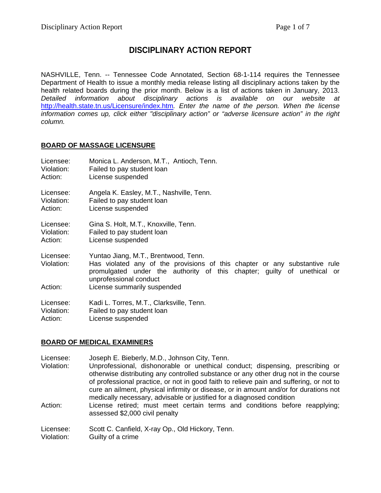## **DISCIPLINARY ACTION REPORT**

NASHVILLE, Tenn. -- Tennessee Code Annotated, Section 68-1-114 requires the Tennessee Department of Health to issue a monthly media release listing all disciplinary actions taken by the health related boards during the prior month. Below is a list of actions taken in January, 2013. *Detailed information about disciplinary actions is available on our website at*  <http://health.state.tn.us/Licensure/index.htm>*. Enter the name of the person. When the license information comes up, click either "disciplinary action" or "adverse licensure action" in the right column.*

## **BOARD OF MASSAGE LICENSURE**

| Licensee:                          | Monica L. Anderson, M.T., Antioch, Tenn.                                                                                                                                                                                                               |
|------------------------------------|--------------------------------------------------------------------------------------------------------------------------------------------------------------------------------------------------------------------------------------------------------|
| Violation:                         | Failed to pay student loan                                                                                                                                                                                                                             |
| Action:                            | License suspended                                                                                                                                                                                                                                      |
| Licensee:                          | Angela K. Easley, M.T., Nashville, Tenn.                                                                                                                                                                                                               |
| Violation:                         | Failed to pay student loan                                                                                                                                                                                                                             |
| Action:                            | License suspended                                                                                                                                                                                                                                      |
| Licensee:                          | Gina S. Holt, M.T., Knoxville, Tenn.                                                                                                                                                                                                                   |
| Violation:                         | Failed to pay student loan                                                                                                                                                                                                                             |
| Action:                            | License suspended                                                                                                                                                                                                                                      |
| Licensee:<br>Violation:<br>Action: | Yuntao Jiang, M.T., Brentwood, Tenn.<br>Has violated any of the provisions of this chapter or any substantive rule<br>promulgated under the authority of this chapter; guilty of unethical or<br>unprofessional conduct<br>License summarily suspended |
|                                    |                                                                                                                                                                                                                                                        |
| Licensee:                          | Kadi L. Torres, M.T., Clarksville, Tenn.                                                                                                                                                                                                               |
| Violation:                         | Failed to pay student loan                                                                                                                                                                                                                             |
| Action:                            | License suspended                                                                                                                                                                                                                                      |

## **BOARD OF MEDICAL EXAMINERS**

Licensee: Joseph E. Bieberly, M.D., Johnson City, Tenn.

Violation: Unprofessional, dishonorable or unethical conduct; dispensing, prescribing or otherwise distributing any controlled substance or any other drug not in the course of professional practice, or not in good faith to relieve pain and suffering, or not to cure an ailment, physical infirmity or disease, or in amount and/or for durations not medically necessary, advisable or justified for a diagnosed condition

Action: License retired; must meet certain terms and conditions before reapplying; assessed \$2,000 civil penalty

Licensee: Scott C. Canfield, X-ray Op., Old Hickory, Tenn. Violation: Guilty of a crime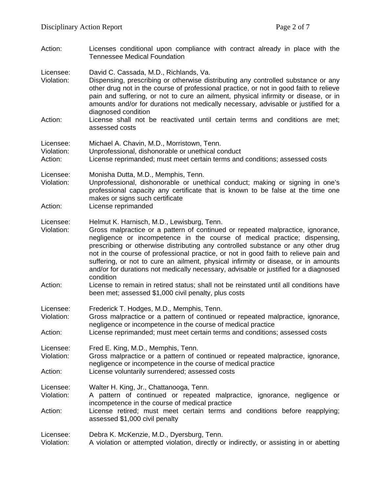Action: Licenses conditional upon compliance with contract already in place with the Tennessee Medical Foundation

Licensee: David C. Cassada, M.D., Richlands, Va.

Violation: Dispensing, prescribing or otherwise distributing any controlled substance or any other drug not in the course of professional practice, or not in good faith to relieve pain and suffering, or not to cure an ailment, physical infirmity or disease, or in amounts and/or for durations not medically necessary, advisable or justified for a diagnosed condition

Action: License shall not be reactivated until certain terms and conditions are met; assessed costs

Licensee: Michael A. Chavin, M.D., Morristown, Tenn.

Violation: Unprofessional, dishonorable or unethical conduct

Action: License reprimanded; must meet certain terms and conditions; assessed costs

Licensee: Monisha Dutta, M.D., Memphis, Tenn.<br>Violation: Unprofessional. dishonorable or unet

Unprofessional, dishonorable or unethical conduct; making or signing in one's professional capacity any certificate that is known to be false at the time one makes or signs such certificate

Action: License reprimanded

Licensee: Helmut K. Harnisch, M.D., Lewisburg, Tenn.

Violation: Gross malpractice or a pattern of continued or repeated malpractice, ignorance, negligence or incompetence in the course of medical practice; dispensing, prescribing or otherwise distributing any controlled substance or any other drug not in the course of professional practice, or not in good faith to relieve pain and suffering, or not to cure an ailment, physical infirmity or disease, or in amounts and/or for durations not medically necessary, advisable or justified for a diagnosed condition

Action: License to remain in retired status; shall not be reinstated until all conditions have been met; assessed \$1,000 civil penalty, plus costs

Licensee: Frederick T. Hodges, M.D., Memphis, Tenn.

Violation: Gross malpractice or a pattern of continued or repeated malpractice, ignorance, negligence or incompetence in the course of medical practice

Action: License reprimanded; must meet certain terms and conditions; assessed costs

Licensee: Fred E. King, M.D., Memphis, Tenn.

Gross malpractice or a pattern of continued or repeated malpractice, ignorance, negligence or incompetence in the course of medical practice Action: License voluntarily surrendered; assessed costs

Licensee: Walter H. King, Jr., Chattanooga, Tenn.

Violation: A pattern of continued or repeated malpractice, ignorance, negligence or incompetence in the course of medical practice

Action: License retired; must meet certain terms and conditions before reapplying; assessed \$1,000 civil penalty

Licensee: Debra K. McKenzie, M.D., Dyersburg, Tenn.

Violation: A violation or attempted violation, directly or indirectly, or assisting in or abetting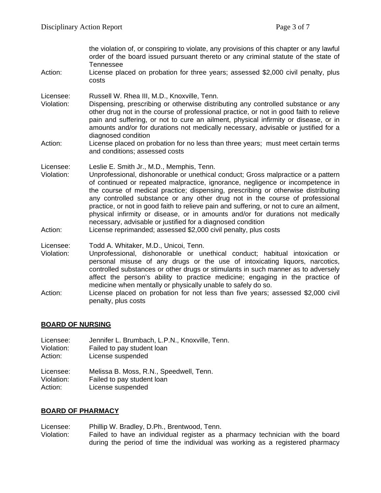the violation of, or conspiring to violate, any provisions of this chapter or any lawful order of the board issued pursuant thereto or any criminal statute of the state of Tennessee

Action: License placed on probation for three years; assessed \$2,000 civil penalty, plus costs

Licensee: Russell W. Rhea III, M.D., Knoxville, Tenn.

- Violation: Dispensing, prescribing or otherwise distributing any controlled substance or any other drug not in the course of professional practice, or not in good faith to relieve pain and suffering, or not to cure an ailment, physical infirmity or disease, or in amounts and/or for durations not medically necessary, advisable or justified for a diagnosed condition
- Action: License placed on probation for no less than three years; must meet certain terms and conditions; assessed costs

Licensee: Leslie E. Smith Jr., M.D., Memphis, Tenn.<br>Violation: Unprofessional. dishonorable or unethical

- Unprofessional, dishonorable or unethical conduct; Gross malpractice or a pattern of continued or repeated malpractice, ignorance, negligence or incompetence in the course of medical practice; dispensing, prescribing or otherwise distributing any controlled substance or any other drug not in the course of professional practice, or not in good faith to relieve pain and suffering, or not to cure an ailment, physical infirmity or disease, or in amounts and/or for durations not medically necessary, advisable or justified for a diagnosed condition
- Action: License reprimanded; assessed \$2,000 civil penalty, plus costs

Licensee: Todd A. Whitaker, M.D., Unicoi, Tenn.

Violation: Unprofessional, dishonorable or unethical conduct; habitual intoxication or personal misuse of any drugs or the use of intoxicating liquors, narcotics, controlled substances or other drugs or stimulants in such manner as to adversely affect the person's ability to practice medicine; engaging in the practice of medicine when mentally or physically unable to safely do so.

Action: License placed on probation for not less than five years; assessed \$2,000 civil penalty, plus costs

#### **BOARD OF NURSING**

Licensee: Jennifer L. Brumbach, L.P.N., Knoxville, Tenn.<br>Violation: Failed to pay student loan Violation: Failed to pay student loan<br>Action: License suspended

License suspended

Licensee: Melissa B. Moss, R.N., Speedwell, Tenn. Violation: Failed to pay student loan Action: License suspended

#### **BOARD OF PHARMACY**

Licensee: Phillip W. Bradley, D.Ph., Brentwood, Tenn.

Violation: Failed to have an individual register as a pharmacy technician with the board during the period of time the individual was working as a registered pharmacy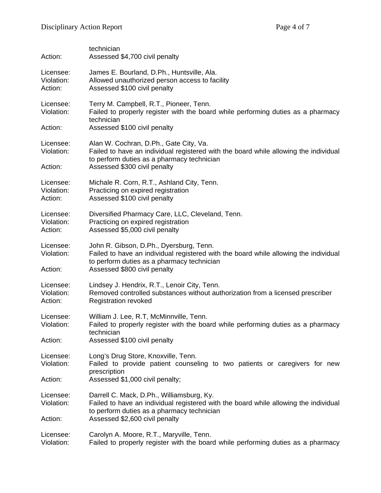| Action:                            | technician<br>Assessed \$4,700 civil penalty                                                                                                                                                                      |
|------------------------------------|-------------------------------------------------------------------------------------------------------------------------------------------------------------------------------------------------------------------|
| Licensee:<br>Violation:<br>Action: | James E. Bourland, D.Ph., Huntsville, Ala.<br>Allowed unauthorized person access to facility<br>Assessed \$100 civil penalty                                                                                      |
| Licensee:<br>Violation:<br>Action: | Terry M. Campbell, R.T., Pioneer, Tenn.<br>Failed to properly register with the board while performing duties as a pharmacy<br>technician<br>Assessed \$100 civil penalty                                         |
| Licensee:<br>Violation:<br>Action: | Alan W. Cochran, D.Ph., Gate City, Va.<br>Failed to have an individual registered with the board while allowing the individual<br>to perform duties as a pharmacy technician<br>Assessed \$300 civil penalty      |
| Licensee:<br>Violation:<br>Action: | Michale R. Corn, R.T., Ashland City, Tenn.<br>Practicing on expired registration<br>Assessed \$100 civil penalty                                                                                                  |
| Licensee:<br>Violation:<br>Action: | Diversified Pharmacy Care, LLC, Cleveland, Tenn.<br>Practicing on expired registration<br>Assessed \$5,000 civil penalty                                                                                          |
| Licensee:<br>Violation:<br>Action: | John R. Gibson, D.Ph., Dyersburg, Tenn.<br>Failed to have an individual registered with the board while allowing the individual<br>to perform duties as a pharmacy technician<br>Assessed \$800 civil penalty     |
| Licensee:<br>Violation:<br>Action: | Lindsey J. Hendrix, R.T., Lenoir City, Tenn.<br>Removed controlled substances without authorization from a licensed prescriber<br><b>Registration revoked</b>                                                     |
| Licensee:<br>Violation:<br>Action: | William J. Lee, R.T, McMinnville, Tenn.<br>Failed to properly register with the board while performing duties as a pharmacy<br>technician<br>Assessed \$100 civil penalty                                         |
| Licensee:<br>Violation:<br>Action: | Long's Drug Store, Knoxville, Tenn.<br>Failed to provide patient counseling to two patients or caregivers for new<br>prescription<br>Assessed \$1,000 civil penalty;                                              |
| Licensee:<br>Violation:<br>Action: | Darrell C. Mack, D.Ph., Williamsburg, Ky.<br>Failed to have an individual registered with the board while allowing the individual<br>to perform duties as a pharmacy technician<br>Assessed \$2,600 civil penalty |
| Licensee:<br>Violation:            | Carolyn A. Moore, R.T., Maryville, Tenn.<br>Failed to properly register with the board while performing duties as a pharmacy                                                                                      |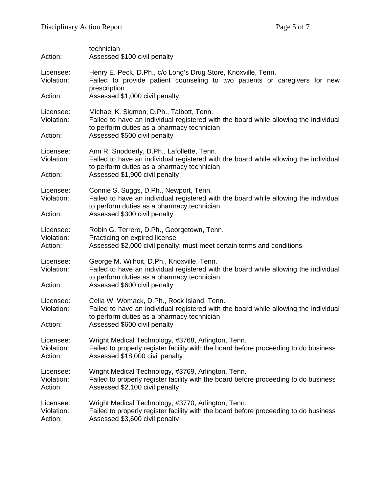| Action:                            | technician<br>Assessed \$100 civil penalty                                                                                                                                                                         |  |
|------------------------------------|--------------------------------------------------------------------------------------------------------------------------------------------------------------------------------------------------------------------|--|
| Licensee:<br>Violation:            | Henry E. Peck, D.Ph., c/o Long's Drug Store, Knoxville, Tenn.<br>Failed to provide patient counseling to two patients or caregivers for new<br>prescription                                                        |  |
| Action:                            | Assessed \$1,000 civil penalty;                                                                                                                                                                                    |  |
| Licensee:<br>Violation:            | Michael K. Sigmon, D.Ph., Talbott, Tenn.<br>Failed to have an individual registered with the board while allowing the individual<br>to perform duties as a pharmacy technician                                     |  |
| Action:                            | Assessed \$500 civil penalty                                                                                                                                                                                       |  |
| Licensee:<br>Violation:            | Ann R. Snodderly, D.Ph., Lafollette, Tenn.<br>Failed to have an individual registered with the board while allowing the individual<br>to perform duties as a pharmacy technician<br>Assessed \$1,900 civil penalty |  |
| Action:                            |                                                                                                                                                                                                                    |  |
| Licensee:<br>Violation:            | Connie S. Suggs, D.Ph., Newport, Tenn.<br>Failed to have an individual registered with the board while allowing the individual<br>to perform duties as a pharmacy technician<br>Assessed \$300 civil penalty       |  |
| Action:                            |                                                                                                                                                                                                                    |  |
| Licensee:<br>Violation:<br>Action: | Robin G. Terrero, D.Ph., Georgetown, Tenn.<br>Practicing on expired license<br>Assessed \$2,000 civil penalty; must meet certain terms and conditions                                                              |  |
| Licensee:<br>Violation:            | George M. Wilhoit, D.Ph., Knoxville, Tenn.<br>Failed to have an individual registered with the board while allowing the individual                                                                                 |  |
| Action:                            | to perform duties as a pharmacy technician<br>Assessed \$600 civil penalty                                                                                                                                         |  |
| Licensee:<br>Violation:            | Celia W. Womack, D.Ph., Rock Island, Tenn.<br>Failed to have an individual registered with the board while allowing the individual                                                                                 |  |
| Action:                            | to perform duties as a pharmacy technician<br>Assessed \$600 civil penalty                                                                                                                                         |  |
| Licensee:<br>Violation:<br>Action: | Wright Medical Technology, #3768, Arlington, Tenn.<br>Failed to properly register facility with the board before proceeding to do business<br>Assessed \$18,000 civil penalty                                      |  |
| Licensee:<br>Violation:<br>Action: | Wright Medical Technology, #3769, Arlington, Tenn.<br>Failed to properly register facility with the board before proceeding to do business<br>Assessed \$2,100 civil penalty                                       |  |
| Licensee:<br>Violation:<br>Action: | Wright Medical Technology, #3770, Arlington, Tenn.<br>Failed to properly register facility with the board before proceeding to do business<br>Assessed \$3,600 civil penalty                                       |  |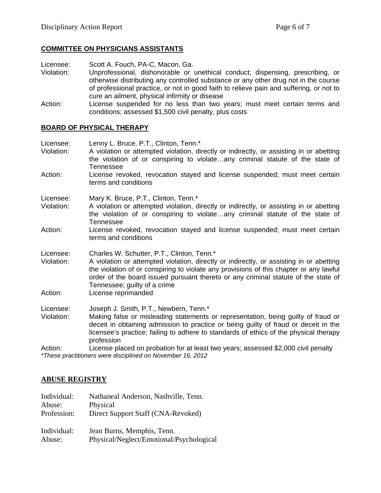## **COMMITTEE ON PHYSICIANS ASSISTANTS**

Licensee: Scott A. Fouch, PA-C, Macon, Ga.<br>Violation: Unprofessional. dishonorable or

- Unprofessional, dishonorable or unethical conduct; dispensing, prescribing, or otherwise distributing any controlled substance or any other drug not in the course of professional practice, or not in good faith to relieve pain and suffering, or not to cure an ailment, physical infirmity or disease
- Action: License suspended for no less than two years; must meet certain terms and conditions; assessed \$1,500 civil penalty, plus costs

### **BOARD OF PHYSICAL THERAPY**

| Licensee:<br>Violation: | Lenny L. Bruce, P.T., Clinton, Tenn.*<br>A violation or attempted violation, directly or indirectly, or assisting in or abetting<br>the violation of or conspiring to violateany criminal statute of the state of<br>Tennessee                                                                                                                        |
|-------------------------|-------------------------------------------------------------------------------------------------------------------------------------------------------------------------------------------------------------------------------------------------------------------------------------------------------------------------------------------------------|
| Action:                 | License revoked, revocation stayed and license suspended; must meet certain<br>terms and conditions                                                                                                                                                                                                                                                   |
| Licensee:<br>Violation: | Mary K. Bruce, P.T., Clinton, Tenn.*<br>A violation or attempted violation, directly or indirectly, or assisting in or abetting<br>the violation of or conspiring to violateany criminal statute of the state of<br>Tennessee                                                                                                                         |
| Action:                 | License revoked, revocation stayed and license suspended; must meet certain<br>terms and conditions                                                                                                                                                                                                                                                   |
| Licensee:<br>Violation: | Charles W. Schutter, P.T., Clinton, Tenn.*<br>A violation or attempted violation, directly or indirectly, or assisting in or abetting<br>the violation of or conspiring to violate any provisions of this chapter or any lawful<br>order of the board issued pursuant thereto or any criminal statute of the state of<br>Tennessee; guilty of a crime |
| Action:                 | License reprimanded                                                                                                                                                                                                                                                                                                                                   |
| Licensee:               | Joseph J. Smith, P.T., Newbern, Tenn.*                                                                                                                                                                                                                                                                                                                |
| Violation:              | Making false or misleading statements or representation, being guilty of fraud or<br>deceit in obtaining admission to practice or being guilty of fraud or deceit in the<br>licensee's practice; failing to adhere to standards of ethics of the physical therapy<br>profession                                                                       |
| Action:<br>$+T$ .       | License placed on probation for at least two years; assessed \$2,000 civil penalty<br>$\mathcal{L}^{\mathcal{I}}\mathcal{L}^{\mathcal{I}}$<br>$\cdots$ and $\cdots$ is a similar and a set of $\alpha$ and $\alpha$ and $\alpha$ and $\alpha$                                                                                                         |

*\*These practitioners were disciplined on November 16, 2012*

## **ABUSE REGISTRY**

| Individual: | Nathaneal Anderson, Nashville, Tenn.     |
|-------------|------------------------------------------|
| Abuse:      | Physical                                 |
| Profession: | Direct Support Staff (CNA-Revoked)       |
| Individual: | Jean Burns, Memphis, Tenn.               |
| Abuse:      | Physical/Neglect/Emotional/Psychological |